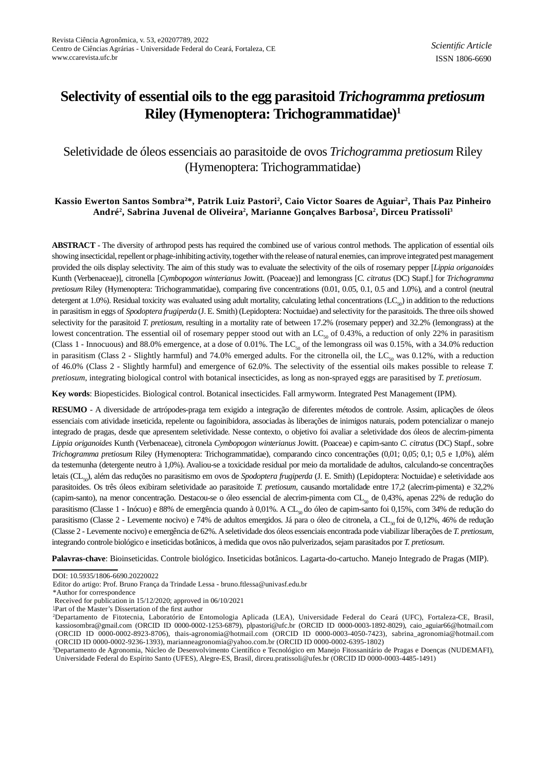# **Selectivity of essential oils to the egg parasitoid** *Trichogramma pretiosum* **Riley (Hymenoptera: Trichogrammatidae)<sup>1</sup>**

## Seletividade de óleos essenciais ao parasitoide de ovos *Trichogramma pretiosum* Riley (Hymenoptera: Trichogrammatidae)

## **Kassio Ewerton Santos Sombra2\*, Patrik Luiz Pastori<sup>2</sup> , Caio Victor Soares de Aguiar<sup>2</sup> , Thais Paz Pinheiro André<sup>2</sup> , Sabrina Juvenal de Oliveira<sup>2</sup> , Marianne Gonçalves Barbosa<sup>2</sup> , Dirceu Pratissoli<sup>3</sup>**

**ABSTRACT** - The diversity of arthropod pests has required the combined use of various control methods. The application of essential oils showing insecticidal, repellent or phage-inhibiting activity, together with the release of natural enemies, can improve integrated pest management provided the oils display selectivity. The aim of this study was to evaluate the selectivity of the oils of rosemary pepper [*Lippia origanoides* Kunth (Verbenaceae)], citronella [*Cymbopogon winterianus* Jowitt. (Poaceae)] and lemongrass [*C. citratus* (DC) Stapf.] for *Trichogramma pretiosum* Riley (Hymenoptera: Trichogrammatidae), comparing five concentrations (0.01, 0.05, 0.1, 0.5 and 1.0%), and a control (neutral detergent at 1.0%). Residual toxicity was evaluated using adult mortality, calculating lethal concentrations ( $LC<sub>50</sub>$ ) in addition to the reductions in parasitism in eggs of *Spodoptera frugiperda* (J. E. Smith) (Lepidoptera: Noctuidae) and selectivity for the parasitoids. The three oils showed selectivity for the parasitoid *T. pretiosum*, resulting in a mortality rate of between 17.2% (rosemary pepper) and 32.2% (lemongrass) at the lowest concentration. The essential oil of rosemary pepper stood out with an LC<sub>50</sub> of 0.43%, a reduction of only 22% in parasitism (Class 1 - Innocuous) and 88.0% emergence, at a dose of 0.01%. The  $LC_{50}$  of the lemongrass oil was 0.15%, with a 34.0% reduction in parasitism (Class 2 - Slightly harmful) and 74.0% emerged adults. For the citronella oil, the LC<sub>50</sub> was 0.12%, with a reduction of 46.0% (Class 2 - Slightly harmful) and emergence of 62.0%. The selectivity of the essential oils makes possible to release *T. pretiosum*, integrating biological control with botanical insecticides, as long as non-sprayed eggs are parasitised by *T. pretiosum*.

**Key words**: Biopesticides. Biological control. Botanical insecticides. Fall armyworm. Integrated Pest Management (IPM).

**RESUMO** - A diversidade de artrópodes-praga tem exigido a integração de diferentes métodos de controle. Assim, aplicações de óleos essenciais com atividade inseticida, repelente ou fagoinibidora, associadas às liberações de inimigos naturais, podem potencializar o manejo integrado de pragas, desde que apresentem seletividade. Nesse contexto, o objetivo foi avaliar a seletividade dos óleos de alecrim-pimenta *Lippia origanoides* Kunth (Verbenaceae), citronela *Cymbopogon winterianus* Jowitt. (Poaceae) e capim-santo *C. citratus* (DC) Stapf., sobre *Trichogramma pretiosum* Riley (Hymenoptera: Trichogrammatidae), comparando cinco concentrações (0,01; 0,05; 0,1; 0,5 e 1,0%), além da testemunha (detergente neutro à 1,0%). Avaliou-se a toxicidade residual por meio da mortalidade de adultos, calculando-se concentrações letais (CL<sub>50</sub>), além das reduções no parasitismo em ovos de *Spodoptera frugiperda* (J. E. Smith) (Lepidoptera: Noctuidae) e seletividade aos parasitoides. Os três óleos exibiram seletividade ao parasitoide *T. pretiosum*, causando mortalidade entre 17,2 (alecrim-pimenta) e 32,2% (capim-santo), na menor concentração. Destacou-se o óleo essencial de alecrim-pimenta com CL<sub>50</sub> de 0,43%, apenas 22% de redução do parasitismo (Classe 1 - Inócuo) e 88% de emergência quando à 0,01%. A CL<sub>50</sub> do óleo de capim-santo foi 0,15%, com 34% de redução do parasitismo (Classe 2 - Levemente nocivo) e 74% de adultos emergidos. Já para o óleo de citronela, a CL<sub>50</sub> foi de 0,12%, 46% de redução (Classe 2 - Levemente nocivo) e emergência de 62%. A seletividade dos óleos essenciais encontrada pode viabilizar liberações de *T. pretiosum*, integrando controle biológico e inseticidas botânicos, à medida que ovos não pulverizados, sejam parasitados por *T. pretiosum*.

**Palavras-chave**: Bioinseticidas. Controle biológico. Inseticidas botânicos. Lagarta-do-cartucho. Manejo Integrado de Pragas (MIP).

\*Author for correspondence

DOI: 10.5935/1806-6690.20220022

Editor do artigo: Prof. Bruno França da Trindade Lessa - bruno.ftlessa@univasf.edu.br

Received for publication in 15/12/2020; approved in 06/10/2021

<sup>&</sup>lt;sup>1</sup>Part of the Master's Dissertation of the first author

<sup>2</sup>Departamento de Fitotecnia, Laboratório de Entomologia Aplicada (LEA), Universidade Federal do Ceará (UFC), Fortaleza-CE, Brasil, kassiosombra@gmail.com (ORCID ID 0000-0002-1253-6879), plpastori@ufc.br (ORCID ID 0000-0003-1892-8029), caio\_aguiar66@hotmail.com (ORCID ID 0000-0002-8923-8706), thais-agronomia@hotmail.com (ORCID ID 0000-0003-4050-7423), sabrina\_agronomia@hotmail.com (ORCID ID 0000-0002-9236-1393), marianneagronomia@yahoo.com.br (ORCID ID 0000-0002-6395-1802)

<sup>&</sup>lt;sup>3</sup>Departamento de Agronomia, Núcleo de Desenvolvimento Científico e Tecnológico em Manejo Fitossanitário de Pragas e Doenças (NUDEMAFI), Universidade Federal do Espírito Santo (UFES), Alegre-ES, Brasil, dirceu.pratissoli@ufes.br (ORCID ID 0000-0003-4485-1491)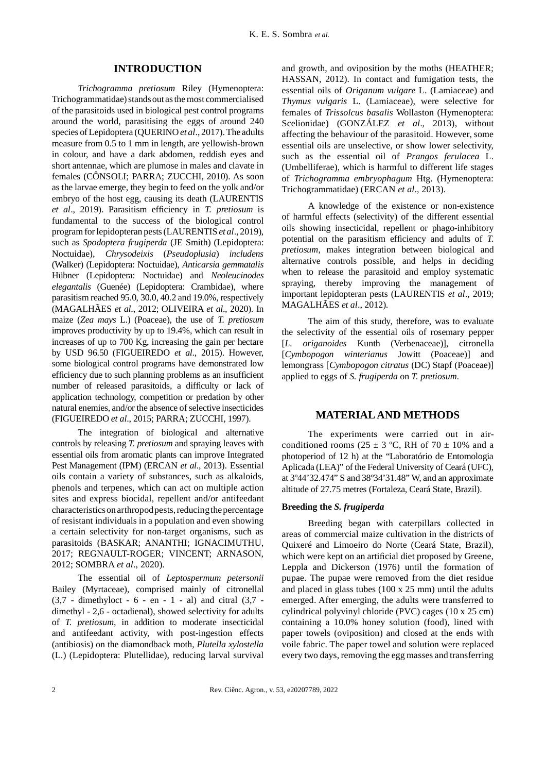## **INTRODUCTION**

*Trichogramma pretiosum* Riley (Hymenoptera: Trichogrammatidae) stands out as the most commercialised of the parasitoids used in biological pest control programs around the world, parasitising the eggs of around 240 species of Lepidoptera (QUERINO *et al*., 2017). The adults measure from 0.5 to 1 mm in length, are yellowish-brown in colour, and have a dark abdomen, reddish eyes and short antennae, which are plumose in males and clavate in females (CÔNSOLI; PARRA; ZUCCHI, 2010). As soon as the larvae emerge, they begin to feed on the yolk and/or embryo of the host egg, causing its death (LAURENTIS *et al.*, 2019). Parasitism efficiency in *T. pretiosum* is fundamental to the success of the biological control program for lepidopteran pests (LAURENTIS *et al*., 2019), such as *Spodoptera frugiperda* (JE Smith) (Lepidoptera: Noctuidae), *Chrysodeixis* (*Pseudoplusia*) *includens* (Walker) (Lepidoptera: Noctuidae), *Anticarsia gemmatalis* Hübner (Lepidoptera: Noctuidae) and *Neoleucinodes elegantalis* (Guenée) (Lepidoptera: Crambidae), where parasitism reached 95.0, 30.0, 40.2 and 19.0%, respectively (MAGALHÃES *et al*., 2012; OLIVEIRA *et al*., 2020). In maize (*Zea mays* L.) (Poaceae), the use of *T. pretiosum* improves productivity by up to 19.4%, which can result in increases of up to 700 Kg, increasing the gain per hectare by USD 96.50 (FIGUEIREDO *et al*., 2015). However, some biological control programs have demonstrated low efficiency due to such planning problems as an insufficient number of released parasitoids, a difficulty or lack of application technology, competition or predation by other natural enemies, and/or the absence of selective insecticides (FIGUEIREDO *et al*., 2015; PARRA; ZUCCHI, 1997).

The integration of biological and alternative controls by releasing *T. pretiosum* and spraying leaves with essential oils from aromatic plants can improve Integrated Pest Management (IPM) (ERCAN *et al*., 2013). Essential oils contain a variety of substances, such as alkaloids, phenols and terpenes, which can act on multiple action sites and express biocidal, repellent and/or antifeedant characteristics on arthropod pests, reducing the percentage of resistant individuals in a population and even showing a certain selectivity for non-target organisms, such as parasitoids (BASKAR; ANANTHI; IGNACIMUTHU, 2017; REGNAULT-ROGER; VINCENT; ARNASON, 2012; SOMBRA *et al*., 2020).

The essential oil of *Leptospermum petersonii* Bailey (Myrtaceae), comprised mainly of citronellal  $(3,7 -$  dimethyloct - 6 - en - 1 - al) and citral  $(3,7$ dimethyl - 2,6 - octadienal), showed selectivity for adults of *T. pretiosum*, in addition to moderate insecticidal and antifeedant activity, with post-ingestion effects (antibiosis) on the diamondback moth, *Plutella xylostella* (L.) (Lepidoptera: Plutellidae), reducing larval survival

and growth, and oviposition by the moths (HEATHER; HASSAN, 2012). In contact and fumigation tests, the essential oils of *Origanum vulgare* L. (Lamiaceae) and *Thymus vulgaris* L. (Lamiaceae), were selective for females of *Trissolcus basalis* Wollaston (Hymenoptera: Scelionidae) (GONZÁLEZ *et al*., 2013), without affecting the behaviour of the parasitoid. However, some essential oils are unselective, or show lower selectivity, such as the essential oil of *Prangos ferulacea* L. (Umbelliferae), which is harmful to different life stages of *Trichogramma embryophagum* Htg. (Hymenoptera: Trichogrammatidae) (ERCAN *et al*., 2013).

A knowledge of the existence or non-existence of harmful effects (selectivity) of the different essential oils showing insecticidal, repellent or phago-inhibitory potential on the parasitism efficiency and adults of *T*. *pretiosum*, makes integration between biological and alternative controls possible, and helps in deciding when to release the parasitoid and employ systematic spraying, thereby improving the management of important lepidopteran pests (LAURENTIS *et al*., 2019; MAGALHÃES *et al*., 2012).

The aim of this study, therefore, was to evaluate the selectivity of the essential oils of rosemary pepper [*L. origanoides* Kunth (Verbenaceae)], citronella [*Cymbopogon winterianus* Jowitt (Poaceae)] and lemongrass [*Cymbopogon citratus* (DC) Stapf (Poaceae)] applied to eggs of *S. frugiperda* on *T. pretiosum*.

#### **MATERIAL AND METHODS**

The experiments were carried out in airconditioned rooms (25  $\pm$  3 °C, RH of 70  $\pm$  10% and a photoperiod of 12 h) at the "Laboratório de Entomologia Aplicada (LEA)" of the Federal University of Ceará (UFC), at 3º44'32.474" S and 38º34'31.48" W, and an approximate altitude of 27.75 metres (Fortaleza, Ceará State, Brazil).

#### **Breeding the** *S. frugiperda*

Breeding began with caterpillars collected in areas of commercial maize cultivation in the districts of Quixeré and Limoeiro do Norte (Ceará State, Brazil), which were kept on an artificial diet proposed by Greene, Leppla and Dickerson (1976) until the formation of pupae. The pupae were removed from the diet residue and placed in glass tubes (100 x 25 mm) until the adults emerged. After emerging, the adults were transferred to cylindrical polyvinyl chloride (PVC) cages (10 x 25 cm) containing a 10.0% honey solution (food), lined with paper towels (oviposition) and closed at the ends with voile fabric. The paper towel and solution were replaced every two days, removing the egg masses and transferring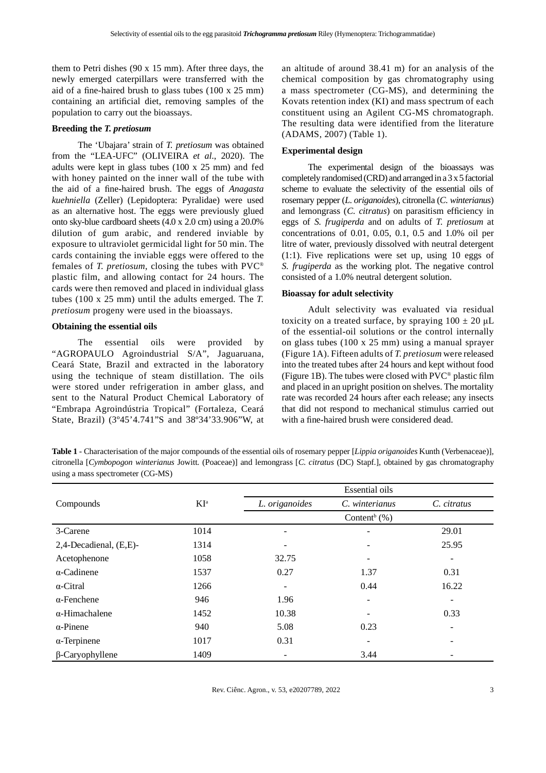them to Petri dishes (90 x 15 mm). After three days, the newly emerged caterpillars were transferred with the aid of a fine-haired brush to glass tubes  $(100 \times 25 \text{ mm})$ containing an artificial diet, removing samples of the population to carry out the bioassays.

## **Breeding the** *T. pretiosum*

The 'Ubajara' strain of *T. pretiosum* was obtained from the "LEA-UFC" (OLIVEIRA *et al*., 2020). The adults were kept in glass tubes (100 x 25 mm) and fed with honey painted on the inner wall of the tube with the aid of a fine-haired brush. The eggs of *Anagasta kuehniella* (Zeller) (Lepidoptera: Pyralidae) were used as an alternative host. The eggs were previously glued onto sky-blue cardboard sheets (4.0 x 2.0 cm) using a 20.0% dilution of gum arabic, and rendered inviable by exposure to ultraviolet germicidal light for 50 min. The cards containing the inviable eggs were offered to the females of *T. pretiosum*, closing the tubes with PVC® plastic film, and allowing contact for 24 hours. The cards were then removed and placed in individual glass tubes (100 x 25 mm) until the adults emerged. The *T. pretiosum* progeny were used in the bioassays.

#### **Obtaining the essential oils**

The essential oils were provided by "AGROPAULO Agroindustrial S/A", Jaguaruana, Ceará State, Brazil and extracted in the laboratory using the technique of steam distillation. The oils were stored under refrigeration in amber glass, and sent to the Natural Product Chemical Laboratory of "Embrapa Agroindústria Tropical" (Fortaleza, Ceará State, Brazil) (3º45'4.741"S and 38º34'33.906"W, at an altitude of around 38.41 m) for an analysis of the chemical composition by gas chromatography using a mass spectrometer (CG-MS), and determining the Kovats retention index (KI) and mass spectrum of each constituent using an Agilent CG-MS chromatograph. The resulting data were identified from the literature (ADAMS, 2007) (Table 1).

#### **Experimental design**

The experimental design of the bioassays was completely randomised (CRD) and arranged in a 3 x 5 factorial scheme to evaluate the selectivity of the essential oils of rosemary pepper (*L. origanoides*), citronella (*C. winterianus*) and lemongrass (*C. citratus*) on parasitism efficiency in eggs of *S. frugiperda* and on adults of *T. pretiosum* at concentrations of 0.01, 0.05, 0.1, 0.5 and 1.0% oil per litre of water, previously dissolved with neutral detergent (1:1). Five replications were set up, using 10 eggs of *S. frugiperda* as the working plot. The negative control consisted of a 1.0% neutral detergent solution.

#### **Bioassay for adult selectivity**

Adult selectivity was evaluated via residual toxicity on a treated surface, by spraying  $100 \pm 20 \mu L$ of the essential-oil solutions or the control internally on glass tubes (100 x 25 mm) using a manual sprayer (Figure 1A). Fifteen adults of *T. pretiosum* were released into the treated tubes after 24 hours and kept without food (Figure 1B). The tubes were closed with  $\text{PVC}^{\otimes}$  plastic film and placed in an upright position on shelves. The mortality rate was recorded 24 hours after each release; any insects that did not respond to mechanical stimulus carried out with a fine-haired brush were considered dead.

**Table 1** - Characterisation of the major compounds of the essential oils of rosemary pepper [*Lippia origanoides* Kunth (Verbenaceae)], citronella [*Cymbopogon winterianus* Jowitt. (Poaceae)] and lemongrass [*C. citratus* (DC) Stapf.], obtained by gas chromatography using a mass spectrometer (CG-MS)

|                        |                 |                | <b>Essential oils</b>        |             |
|------------------------|-----------------|----------------|------------------------------|-------------|
| Compounds              | KI <sup>a</sup> | L. origanoides | C. winterianus               | C. citratus |
|                        |                 |                | Content <sup>b</sup> $(\% )$ |             |
| 3-Carene               | 1014            | ٠              |                              | 29.01       |
| 2,4-Decadienal, (E,E)- | 1314            | ۰              |                              | 25.95       |
| Acetophenone           | 1058            | 32.75          |                              |             |
| $\alpha$ -Cadinene     | 1537            | 0.27           | 1.37                         | 0.31        |
| $\alpha$ -Citral       | 1266            |                | 0.44                         | 16.22       |
| $\alpha$ -Fenchene     | 946             | 1.96           |                              |             |
| $\alpha$ -Himachalene  | 1452            | 10.38          |                              | 0.33        |
| $\alpha$ -Pinene       | 940             | 5.08           | 0.23                         |             |
| $\alpha$ -Terpinene    | 1017            | 0.31           |                              |             |
| $\beta$ -Caryophyllene | 1409            |                | 3.44                         |             |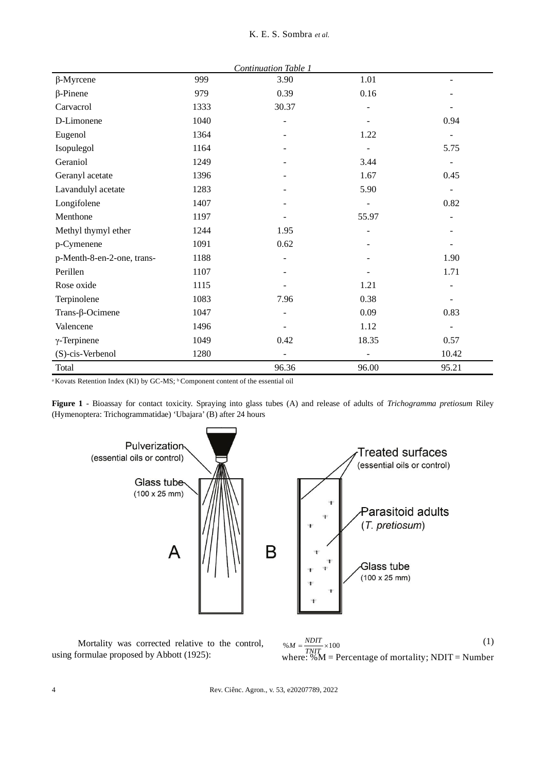|                            | <b>Continuation Table 1</b> |               |                          |                          |  |  |  |  |  |
|----------------------------|-----------------------------|---------------|--------------------------|--------------------------|--|--|--|--|--|
| $\beta$ -Myrcene           | 999                         | 3.90          | 1.01                     |                          |  |  |  |  |  |
| $\beta$ -Pinene            | 979                         | 0.39          | 0.16                     |                          |  |  |  |  |  |
| Carvacrol                  | 1333                        | 30.37         |                          |                          |  |  |  |  |  |
| D-Limonene                 | 1040                        |               |                          | 0.94                     |  |  |  |  |  |
| Eugenol                    | 1364                        |               | 1.22                     |                          |  |  |  |  |  |
| Isopulegol                 | 1164                        |               |                          | 5.75                     |  |  |  |  |  |
| Geraniol                   | 1249                        |               | 3.44                     |                          |  |  |  |  |  |
| Geranyl acetate            | 1396                        |               | 1.67                     | 0.45                     |  |  |  |  |  |
| Lavandulyl acetate         | 1283                        |               | 5.90                     | $\overline{\phantom{a}}$ |  |  |  |  |  |
| Longifolene                | 1407                        |               |                          | 0.82                     |  |  |  |  |  |
| Menthone                   | 1197                        |               | 55.97                    |                          |  |  |  |  |  |
| Methyl thymyl ether        | 1244                        | 1.95          |                          |                          |  |  |  |  |  |
| p-Cymenene                 | 1091                        | 0.62          |                          |                          |  |  |  |  |  |
| p-Menth-8-en-2-one, trans- | 1188                        |               |                          | 1.90                     |  |  |  |  |  |
| Perillen                   | 1107                        |               |                          | 1.71                     |  |  |  |  |  |
| Rose oxide                 | 1115                        |               | 1.21                     |                          |  |  |  |  |  |
| Terpinolene                | 1083                        | 7.96          | 0.38                     |                          |  |  |  |  |  |
| Trans- $\beta$ -Ocimene    | 1047                        |               | 0.09                     | 0.83                     |  |  |  |  |  |
| Valencene                  | 1496                        |               | 1.12                     | $\overline{\phantom{a}}$ |  |  |  |  |  |
| $\gamma$ -Terpinene        | 1049                        | 0.42          | 18.35                    | 0.57                     |  |  |  |  |  |
| (S)-cis-Verbenol           | 1280                        | $\frac{1}{2}$ | $\overline{\phantom{0}}$ | 10.42                    |  |  |  |  |  |
| Total                      |                             | 96.36         | 96.00                    | 95.21                    |  |  |  |  |  |

#### K. E. S. Sombra *et al*.

<sup>a</sup> Kovats Retention Index (KI) by GC-MS; <sup>b</sup> Component content of the essential oil

**Figure 1** - Bioassay for contact toxicity. Spraying into glass tubes (A) and release of adults of *Trichogramma pretiosum* Riley (Hymenoptera: Trichogrammatidae) 'Ubajara' (B) after 24 hours



Mortality was corrected relative to the control, using formulae proposed by Abbott (1925):

 $\%M = \frac{NDIT}{TNIT} \times 100$  (1) where:  $\%M$  = Percentage of mortality; NDIT = Number  $M = \frac{NDIT}{T}$ 

4 Rev. Ciênc. Agron., v. 53, e20207789, 2022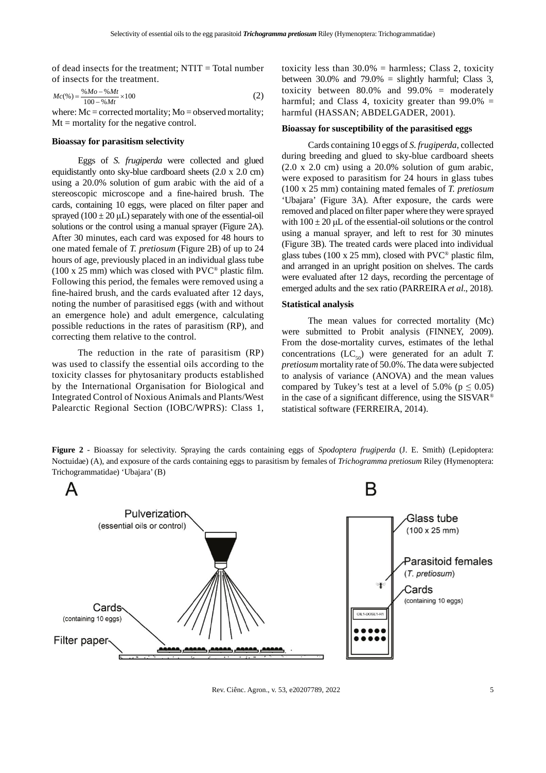of dead insects for the treatment; NTIT = Total number of insects for the treatment.

$$
Mc(\%) = \frac{\% Mo - \%Mt}{100 - \%Mt} \times 100
$$
 (2)

where:  $Mc = corrected$  mortality;  $Mo = observed$  mortality;  $Mt =$  mortality for the negative control.

#### **Bioassay for parasitism selectivity**

Eggs of *S. frugiperda* were collected and glued equidistantly onto sky-blue cardboard sheets (2.0 x 2.0 cm) using a 20.0% solution of gum arabic with the aid of a stereoscopic microscope and a fine-haired brush. The cards, containing 10 eggs, were placed on filter paper and sprayed ( $100 \pm 20 \mu L$ ) separately with one of the essential-oil solutions or the control using a manual sprayer (Figure 2A). After 30 minutes, each card was exposed for 48 hours to one mated female of *T. pretiosum* (Figure 2B) of up to 24 hours of age, previously placed in an individual glass tube  $(100 \times 25 \text{ mm})$  which was closed with PVC<sup>®</sup> plastic film. Following this period, the females were removed using a fine-haired brush, and the cards evaluated after 12 days, noting the number of parasitised eggs (with and without an emergence hole) and adult emergence, calculating possible reductions in the rates of parasitism (RP), and correcting them relative to the control.

The reduction in the rate of parasitism (RP) was used to classify the essential oils according to the toxicity classes for phytosanitary products established by the International Organisation for Biological and Integrated Control of Noxious Animals and Plants/West Palearctic Regional Section (IOBC/WPRS): Class 1,

toxicity less than  $30.0\%$  = harmless; Class 2, toxicity between 30.0% and 79.0% = slightly harmful; Class 3, toxicity between 80.0% and 99.0% = moderately harmful; and Class 4, toxicity greater than  $99.0\%$  = harmful (HASSAN; ABDELGADER, 2001).

#### **Bioassay for susceptibility of the parasitised eggs**

Cards containing 10 eggs of *S. frugiperda*, collected during breeding and glued to sky-blue cardboard sheets  $(2.0 \times 2.0 \text{ cm})$  using a 20.0% solution of gum arabic, were exposed to parasitism for 24 hours in glass tubes (100 x 25 mm) containing mated females of *T. pretiosum* 'Ubajara' (Figure 3A). After exposure, the cards were removed and placed on filter paper where they were sprayed with  $100 \pm 20$  µL of the essential-oil solutions or the control using a manual sprayer, and left to rest for 30 minutes (Figure 3B). The treated cards were placed into individual glass tubes (100 x 25 mm), closed with  $\text{PVC}^{\circledast}$  plastic film, and arranged in an upright position on shelves. The cards were evaluated after 12 days, recording the percentage of emerged adults and the sex ratio (PARREIRA *et al*., 2018).

#### **Statistical analysis**

The mean values for corrected mortality (Mc) were submitted to Probit analysis (FINNEY, 2009). From the dose-mortality curves, estimates of the lethal concentrations  $(LC_{50})$  were generated for an adult *T*. *pretiosum* mortality rate of 50.0%. The data were subjected to analysis of variance (ANOVA) and the mean values compared by Tukey's test at a level of 5.0% ( $p \le 0.05$ ) in the case of a significant difference, using the  $SISVAR<sup>®</sup>$ statistical software (FERREIRA, 2014).

**Figure 2** - Bioassay for selectivity. Spraying the cards containing eggs of *Spodoptera frugiperda* (J. E. Smith) (Lepidoptera: Noctuidae) (A), and exposure of the cards containing eggs to parasitism by females of *Trichogramma pretiosum* Riley (Hymenoptera: Trichogrammatidae) 'Ubajara' (B)



Rev. Ciênc. Agron., v. 53, e20207789, 2022 5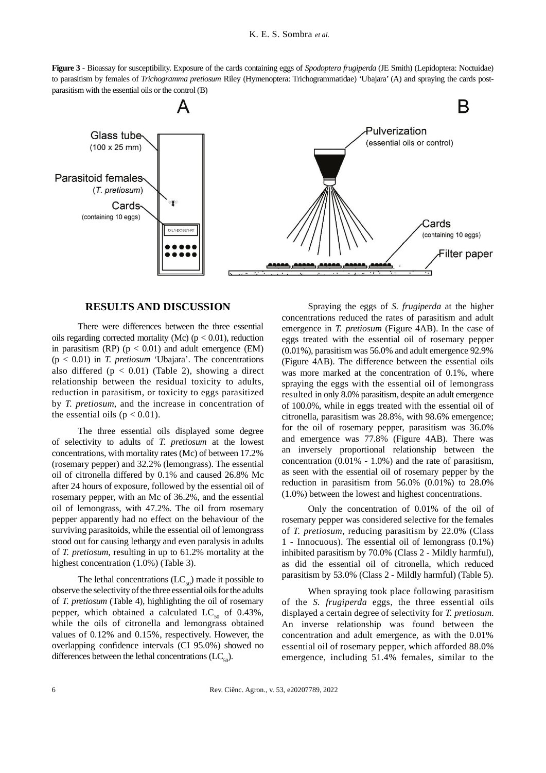**Figure 3** - Bioassay for susceptibility. Exposure of the cards containing eggs of *Spodoptera frugiperda* (JE Smith) (Lepidoptera: Noctuidae) to parasitism by females of *Trichogramma pretiosum* Riley (Hymenoptera: Trichogrammatidae) 'Ubajara' (A) and spraying the cards postparasitism with the essential oils or the control (B)



## **RESULTS AND DISCUSSION**

There were differences between the three essential oils regarding corrected mortality (Mc) ( $p < 0.01$ ), reduction in parasitism (RP) ( $p < 0.01$ ) and adult emergence (EM) (p < 0.01) in *T. pretiosum* 'Ubajara'. The concentrations also differed ( $p < 0.01$ ) (Table 2), showing a direct relationship between the residual toxicity to adults, reduction in parasitism, or toxicity to eggs parasitized by *T. pretiosum*, and the increase in concentration of the essential oils ( $p < 0.01$ ).

The three essential oils displayed some degree of selectivity to adults of *T. pretiosum* at the lowest concentrations, with mortality rates (Mc) of between 17.2% (rosemary pepper) and 32.2% (lemongrass). The essential oil of citronella differed by 0.1% and caused 26.8% Mc after 24 hours of exposure, followed by the essential oil of rosemary pepper, with an Mc of 36.2%, and the essential oil of lemongrass, with 47.2%. The oil from rosemary pepper apparently had no effect on the behaviour of the surviving parasitoids, while the essential oil of lemongrass stood out for causing lethargy and even paralysis in adults of *T. pretiosum*, resulting in up to 61.2% mortality at the highest concentration (1.0%) (Table 3).

The lethal concentrations  $(LC_{50})$  made it possible to observe the selectivity of the three essential oils for the adults of *T. pretiosum* (Table 4), highlighting the oil of rosemary pepper, which obtained a calculated  $LC_{50}$  of 0.43%, while the oils of citronella and lemongrass obtained values of 0.12% and 0.15%, respectively. However, the overlapping confidence intervals (CI 95.0%) showed no differences between the lethal concentrations  $(LC_{50})$ .

Spraying the eggs of *S. frugiperda* at the higher concentrations reduced the rates of parasitism and adult emergence in *T. pretiosum* (Figure 4AB). In the case of eggs treated with the essential oil of rosemary pepper (0.01%), parasitism was 56.0% and adult emergence 92.9% (Figure 4AB). The difference between the essential oils was more marked at the concentration of 0.1%, where spraying the eggs with the essential oil of lemongrass resulted in only 8.0% parasitism, despite an adult emergence of 100.0%, while in eggs treated with the essential oil of citronella, parasitism was 28.8%, with 98.6% emergence; for the oil of rosemary pepper, parasitism was 36.0% and emergence was 77.8% (Figure 4AB). There was an inversely proportional relationship between the concentration (0.01% - 1.0%) and the rate of parasitism, as seen with the essential oil of rosemary pepper by the reduction in parasitism from 56.0% (0.01%) to 28.0% (1.0%) between the lowest and highest concentrations.

Only the concentration of 0.01% of the oil of rosemary pepper was considered selective for the females of *T. pretiosum*, reducing parasitism by 22.0% (Class 1 - Innocuous). The essential oil of lemongrass (0.1%) inhibited parasitism by 70.0% (Class 2 - Mildly harmful), as did the essential oil of citronella, which reduced parasitism by 53.0% (Class 2 - Mildly harmful) (Table 5).

When spraying took place following parasitism of the *S. frugiperda* eggs, the three essential oils displayed a certain degree of selectivity for *T. pretiosum*. An inverse relationship was found between the concentration and adult emergence, as with the 0.01% essential oil of rosemary pepper, which afforded 88.0% emergence, including 51.4% females, similar to the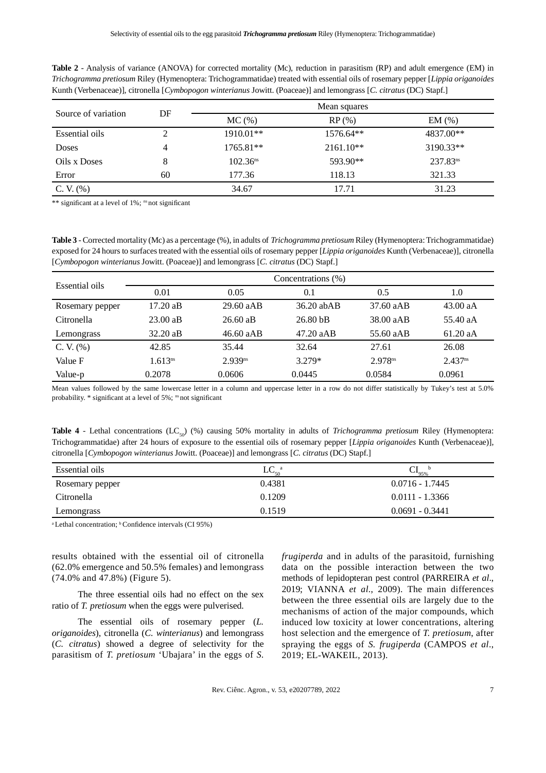| Source of variation | DF | $MC$ $(\%)$          | $RP$ (%)  | EM(%)         |
|---------------------|----|----------------------|-----------|---------------|
| Essential oils      |    | 1910.01**            | 1576.64** | 4837.00**     |
| Doses               | 4  | 1765.81**            | 2161.10** | 3190.33**     |
| Oils x Doses        |    | 102.36 <sup>ns</sup> | 593.90**  | $237.83^{ns}$ |
| Error               | 60 | 177.36               | 118.13    | 321.33        |
| C. V. $(%)$         |    | 34.67                | 17.71     | 31.23         |

**Table 2** - Analysis of variance (ANOVA) for corrected mortality (Mc), reduction in parasitism (RP) and adult emergence (EM) in *Trichogramma pretiosum* Riley (Hymenoptera: Trichogrammatidae) treated with essential oils of rosemary pepper [*Lippia origanoides* Kunth (Verbenaceae)], citronella [*Cymbopogon winterianus* Jowitt. (Poaceae)] and lemongrass [*C. citratus* (DC) Stapf.]

\*\* significant at a level of  $1\%$ ; <sup>ns</sup> not significant

**Table 3** - Corrected mortality (Mc) as a percentage (%), in adults of *Trichogramma pretiosum* Riley (Hymenoptera: Trichogrammatidae) exposed for 24 hours to surfaces treated with the essential oils of rosemary pepper [*Lippia origanoides* Kunth (Verbenaceae)], citronella [*Cymbopogon winterianus* Jowitt. (Poaceae)] and lemongrass [*C. citratus* (DC) Stapf.]

| Essential oils  |                    |                     | Concentrations (%)  |                     |                     |
|-----------------|--------------------|---------------------|---------------------|---------------------|---------------------|
|                 | 0.01               | 0.05                | 0.1                 | 0.5                 | 1.0                 |
| Rosemary pepper | 17.20 aB           | 29.60 aAB           | $36.20$ abAB        | 37.60 aAB           | 43.00 aA            |
| Citronella      | $23.00 \text{ a}B$ | $26.60$ aB          | 26.80 <sub>bB</sub> | 38.00 aAB           | 55.40 aA            |
| Lemongrass      | $32.20 \text{ a}B$ | 46.60 aAB           | 47.20 aAB           | 55.60 aAB           | 61.20 aA            |
| $C. V. (\% )$   | 42.85              | 35.44               | 32.64               | 27.61               | 26.08               |
| Value F         | $1.613^{ns}$       | 2.939 <sup>ns</sup> | $3.279*$            | 2.978 <sup>ns</sup> | 2.437 <sup>ns</sup> |
| Value-p         | 0.2078             | 0.0606              | 0.0445              | 0.0584              | 0.0961              |

Mean values followed by the same lowercase letter in a column and uppercase letter in a row do not differ statistically by Tukey's test at 5.0% probability.  $*$  significant at a level of 5%; <sup>ns</sup> not significant

**Table 4** - Lethal concentrations  $(LC_{50})$  (%) causing 50% mortality in adults of *Trichogramma pretiosum* Riley (Hymenoptera: Trichogrammatidae) after 24 hours of exposure to the essential oils of rosemary pepper [*Lippia origanoides* Kunth (Verbenaceae)], citronella [*Cymbopogon winterianus* Jowitt. (Poaceae)] and lemongrass [*C. citratus* (DC) Stapf.]

| Essential oils  | $LC_{50}$ <sup>a</sup> | b<br>$CI_{95\%}$  |
|-----------------|------------------------|-------------------|
| Rosemary pepper | 0.4381                 | $0.0716 - 1.7445$ |
| Citronella      | 0.1209                 | $0.0111 - 1.3366$ |
| Lemongrass      | 0.1519                 | $0.0691 - 0.3441$ |

<sup>a</sup> Lethal concentration; <sup>b</sup> Confidence intervals (CI 95%)

results obtained with the essential oil of citronella (62.0% emergence and 50.5% females) and lemongrass (74.0% and 47.8%) (Figure 5).

The three essential oils had no effect on the sex ratio of *T. pretiosum* when the eggs were pulverised.

The essential oils of rosemary pepper (*L. origanoides*), citronella (*C. winterianus*) and lemongrass (*C. citratus*) showed a degree of selectivity for the parasitism of *T. pretiosum* 'Ubajara' in the eggs of *S.* 

*frugiperda* and in adults of the parasitoid, furnishing data on the possible interaction between the two methods of lepidopteran pest control (PARREIRA *et al*., 2019; VIANNA *et al*., 2009). The main differences between the three essential oils are largely due to the mechanisms of action of the major compounds, which induced low toxicity at lower concentrations, altering host selection and the emergence of *T. pretiosum*, after spraying the eggs of *S. frugiperda* (CAMPOS *et al*., 2019; EL-WAKEIL, 2013).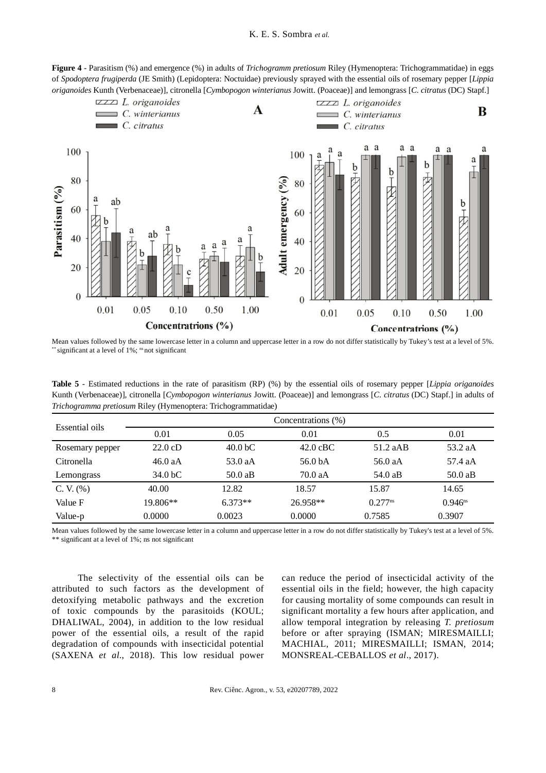**Figure 4** - Parasitism (%) and emergence (%) in adults of *Trichogramm pretiosum* Riley (Hymenoptera: Trichogrammatidae) in eggs of *Spodoptera frugiperda* (JE Smith) (Lepidoptera: Noctuidae) previously sprayed with the essential oils of rosemary pepper [*Lippia origanoides* Kunth (Verbenaceae)], citronella [*Cymbopogon winterianus* Jowitt. (Poaceae)] and lemongrass [*C. citratus* (DC) Stapf.]



Mean values followed by the same lowercase letter in a column and uppercase letter in a row do not differ statistically by Tukey's test at a level of 5%. \* significant at a level of  $1\%$ ; <sup>ns</sup> not significant

| <b>Table 5</b> - Estimated reductions in the rate of parasitism (RP) (%) by the essential oils of rosemary pepper [Lippia origanoides |  |  |  |  |  |  |  |
|---------------------------------------------------------------------------------------------------------------------------------------|--|--|--|--|--|--|--|
| Kunth (Verbenaceae), citronella [Cymbopogon winterianus Jowitt. (Poaceae)] and lemongrass [C. citratus (DC) Stapf.] in adults of      |  |  |  |  |  |  |  |
| <i>Trichogramma pretiosum</i> Riley (Hymenoptera: Trichogrammatidae)                                                                  |  |  |  |  |  |  |  |

| Essential oils  | Concentrations (%) |                     |                    |              |              |  |  |  |  |
|-----------------|--------------------|---------------------|--------------------|--------------|--------------|--|--|--|--|
|                 | 0.01               | 0.05                | 0.01               | 0.5          | 0.01         |  |  |  |  |
| Rosemary pepper | $22.0 \text{ cD}$  | 40.0 <sub>b</sub> C | $42.0 \text{ cBC}$ | 51.2 aAB     | 53.2 aA      |  |  |  |  |
| Citronella      | 46.0 aA            | 53.0 aA             | 56.0 bA            | 56.0 aA      | 57.4 aA      |  |  |  |  |
| Lemongrass      | $34.0b$ C          | 50.0aB              | 70.0 aA            | 54.0 aB      | 50.0aB       |  |  |  |  |
| C. V. (%)       | 40.00              | 12.82               | 18.57              | 15.87        | 14.65        |  |  |  |  |
| Value F         | 19.806**           | $6.373**$           | 26.958**           | $0.277^{ns}$ | $0.946^{ns}$ |  |  |  |  |
| Value-p         | 0.0000             | 0.0023              | 0.0000             | 0.7585       | 0.3907       |  |  |  |  |

Mean values followed by the same lowercase letter in a column and uppercase letter in a row do not differ statistically by Tukey's test at a level of 5%.  $**$  significant at a level of 1%; ns not significant

The selectivity of the essential oils can be attributed to such factors as the development of detoxifying metabolic pathways and the excretion of toxic compounds by the parasitoids (KOUL; DHALIWAL, 2004), in addition to the low residual power of the essential oils, a result of the rapid degradation of compounds with insecticidal potential (SAXENA *et al*., 2018). This low residual power

can reduce the period of insecticidal activity of the essential oils in the field; however, the high capacity for causing mortality of some compounds can result in significant mortality a few hours after application, and allow temporal integration by releasing *T. pretiosum* before or after spraying (ISMAN; MIRESMAILLI; MACHIAL, 2011; MIRESMAILLI; ISMAN, 2014; MONSREAL-CEBALLOS *et al*., 2017).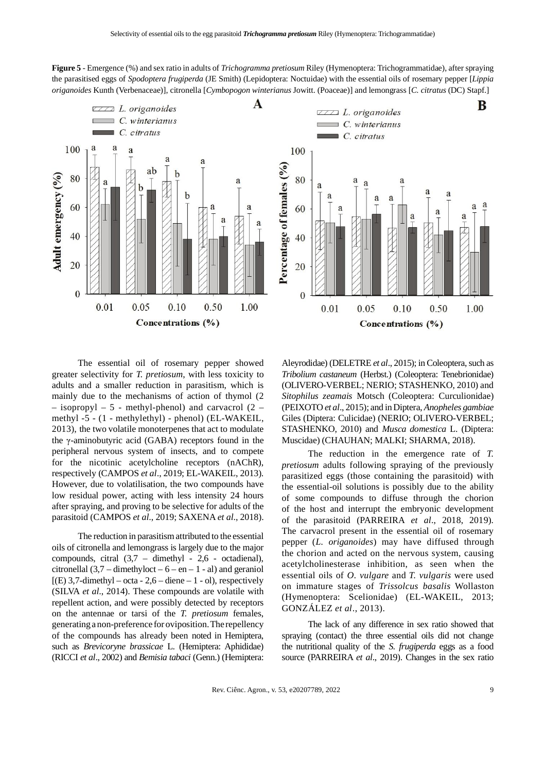**Figure 5** - Emergence (%) and sex ratio in adults of *Trichogramma pretiosum* Riley (Hymenoptera: Trichogrammatidae), after spraying the parasitised eggs of *Spodoptera frugiperda* (JE Smith) (Lepidoptera: Noctuidae) with the essential oils of rosemary pepper [*Lippia origanoides* Kunth (Verbenaceae)], citronella [*Cymbopogon winterianus* Jowitt. (Poaceae)] and lemongrass [*C. citratus* (DC) Stapf.]A B  $ZZZ$  L. origanoides  $ZZZ$  L. origanoides



The essential oil of rosemary pepper showed greater selectivity for *T. pretiosum*, with less toxicity to adults and a smaller reduction in parasitism, which is mainly due to the mechanisms of action of thymol (2 – isopropyl – 5 - methyl-phenol) and carvacrol (2 – methyl -5 - (1 - methylethyl) - phenol) (EL-WAKEIL, 2013), the two volatile monoterpenes that act to modulate the γ-aminobutyric acid (GABA) receptors found in the peripheral nervous system of insects, and to compete for the nicotinic acetylcholine receptors (nAChR), respectively (CAMPOS *et al*., 2019; EL-WAKEIL, 2013). However, due to volatilisation, the two compounds have low residual power, acting with less intensity 24 hours after spraying, and proving to be selective for adults of the parasitoid (CAMPOS *et al*., 2019; SAXENA *et al*., 2018).

The reduction in parasitism attributed to the essential oils of citronella and lemongrass is largely due to the major compounds, citral (3,7 – dimethyl - 2,6 - octadienal), citronellal  $(3,7 -$ dimethyloct – 6 – en – 1 - al) and geraniol  $[(E) 3, 7$ -dimethyl – octa - 2,6 – diene – 1 - ol), respectively (SILVA *et al*., 2014). These compounds are volatile with repellent action, and were possibly detected by receptors on the antennae or tarsi of the *T. pretiosum* females, generating a non-preference for oviposition. The repellency of the compounds has already been noted in Hemiptera, such as *Brevicoryne brassicae* L. (Hemiptera: Aphididae) (RICCI *et al*., 2002) and *Bemisia tabaci* (Genn.) (Hemiptera:

Aleyrodidae) (DELETRE *et al*., 2015); in Coleoptera, such as *Tribolium castaneum* (Herbst.) (Coleoptera: Tenebrionidae) (OLIVERO-VERBEL; NERIO; STASHENKO, 2010) and *Sitophilus zeamais* Motsch (Coleoptera: Curculionidae) (PEIXOTO *et al*., 2015); and in Diptera, *Anopheles gambiae* Giles (Diptera: Culicidae) (NERIO; OLIVERO-VERBEL; STASHENKO, 2010) and *Musca domestica* L. (Diptera: Muscidae) (CHAUHAN; MALKI; SHARMA, 2018).

The reduction in the emergence rate of *T. pretiosum* adults following spraying of the previously parasitized eggs (those containing the parasitoid) with the essential-oil solutions is possibly due to the ability of some compounds to diffuse through the chorion of the host and interrupt the embryonic development of the parasitoid (PARREIRA *et al*., 2018, 2019). The carvacrol present in the essential oil of rosemary pepper (*L. origanoides*) may have diffused through the chorion and acted on the nervous system, causing acetylcholinesterase inhibition, as seen when the essential oils of *O. vulgare* and *T. vulgaris* were used on immature stages of *Trissolcus basalis* Wollaston (Hymenoptera: Scelionidae) (EL-WAKEIL, 2013; GONZÁLEZ *et al*., 2013).

The lack of any difference in sex ratio showed that spraying (contact) the three essential oils did not change the nutritional quality of the *S. frugiperda* eggs as a food source (PARREIRA *et al*., 2019). Changes in the sex ratio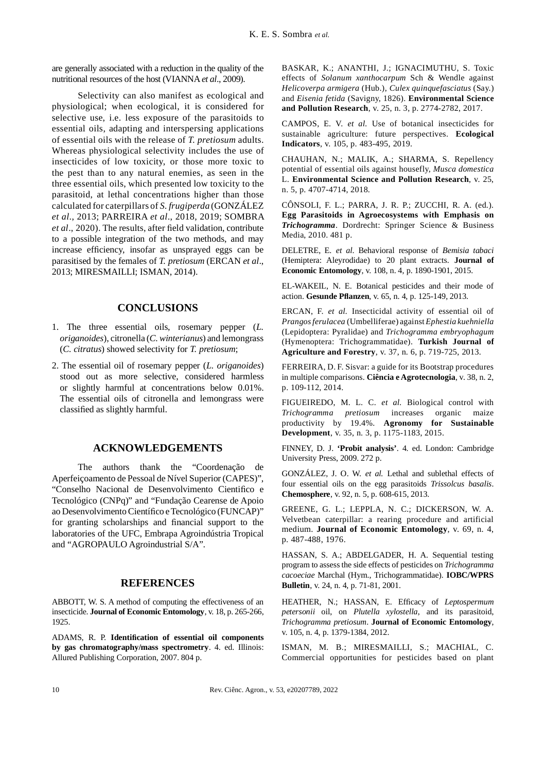are generally associated with a reduction in the quality of the nutritional resources of the host (VIANNA*et al*., 2009).

Selectivity can also manifest as ecological and physiological; when ecological, it is considered for selective use, i.e. less exposure of the parasitoids to essential oils, adapting and interspersing applications of essential oils with the release of *T. pretiosum* adults. Whereas physiological selectivity includes the use of insecticides of low toxicity, or those more toxic to the pest than to any natural enemies, as seen in the three essential oils, which presented low toxicity to the parasitoid, at lethal concentrations higher than those calculated for caterpillars of *S. frugiperda* (GONZÁLEZ *et al*., 2013; PARREIRA *et al*., 2018, 2019; SOMBRA *et al.*, 2020). The results, after field validation, contribute to a possible integration of the two methods, and may increase efficiency, insofar as unsprayed eggs can be parasitised by the females of *T. pretiosum* (ERCAN *et al*., 2013; MIRESMAILLI; ISMAN, 2014).

## **CONCLUSIONS**

- 1. The three essential oils, rosemary pepper (*L. origanoides*), citronella (*C. winterianus*) and lemongrass (*C. citratus*) showed selectivity for *T. pretiosum*;
- 2. The essential oil of rosemary pepper (*L. origanoides*) stood out as more selective, considered harmless or slightly harmful at concentrations below 0.01%. The essential oils of citronella and lemongrass were classified as slightly harmful.

## **ACKNOWLEDGEMENTS**

The authors thank the "Coordenação de Aperfeiçoamento de Pessoal de Nível Superior (CAPES)", "Conselho Nacional de Desenvolvimento Cientifico e Tecnológico (CNPq)" and "Fundação Cearense de Apoio ao Desenvolvimento Científico e Tecnológico (FUNCAP)" for granting scholarships and financial support to the laboratories of the UFC, Embrapa Agroindústria Tropical and "AGROPAULO Agroindustrial S/A".

## **REFERENCES**

ABBOTT, W. S. A method of computing the effectiveness of an insecticide. **Journal of Economic Entomology**, v. 18, p. 265-266, 1925.

ADAMS, R. P. **Identification of essential oil components by gas chromatography/mass spectrometry**. 4. ed. Illinois: Allured Publishing Corporation, 2007. 804 p.

BASKAR, K.; ANANTHI, J.; IGNACIMUTHU, S. Toxic effects of *Solanum xanthocarpum* Sch & Wendle against *Helicoverpa armigera* (Hub.), *Culex quinquefasciatus* (Say.) and *Eisenia fetida* (Savigny, 1826). **Environmental Science and Pollution Research**, v. 25, n. 3, p. 2774-2782, 2017.

CAMPOS, E. V. *et al.* Use of botanical insecticides for sustainable agriculture: future perspectives. **Ecological Indicators**, v. 105, p. 483-495, 2019.

CHAUHAN, N.; MALIK, A.; SHARMA, S. Repellency potential of essential oils against housefly, *Musca domestica* L. **Environmental Science and Pollution Research**, v. 25, n. 5, p. 4707-4714, 2018.

CÔNSOLI, F. L.; PARRA, J. R. P.; ZUCCHI, R. A. (ed.). **Egg Parasitoids in Agroecosystems with Emphasis on** *Trichogramma*. Dordrecht: Springer Science & Business Media, 2010. 481 p.

DELETRE, E. *et al*. Behavioral response of *Bemisia tabaci* (Hemiptera: Aleyrodidae) to 20 plant extracts. **Journal of Economic Entomology**, v. 108, n. 4, p. 1890-1901, 2015.

EL-WAKEIL, N. E. Botanical pesticides and their mode of action. **Gesunde Pfl anzen**, v. 65, n. 4, p. 125-149, 2013.

ERCAN, F. *et al.* Insecticidal activity of essential oil of *Prangos ferulacea* (Umbelliferae) against *Ephestia kuehniella* (Lepidoptera: Pyralidae) and *Trichogramma embryophagum* (Hymenoptera: Trichogrammatidae). **Turkish Journal of Agriculture and Forestry**, v. 37, n. 6, p. 719-725, 2013.

FERREIRA, D. F. Sisvar: a guide for its Bootstrap procedures in multiple comparisons. **Ciência e Agrotecnologia**, v. 38, n. 2, p. 109-112, 2014.

FIGUEIREDO, M. L. C. *et al.* Biological control with *Trichogramma pretiosum* increases organic maize productivity by 19.4%. **Agronomy for Sustainable Development**, v. 35, n. 3, p. 1175-1183, 2015.

FINNEY, D. J. **'Probit analysis'**. 4. ed. London: Cambridge University Press, 2009. 272 p.

GONZÁLEZ, J. O. W. *et al.* Lethal and sublethal effects of four essential oils on the egg parasitoids *Trissolcus basalis*. **Chemosphere**, v. 92, n. 5, p. 608-615, 2013.

GREENE, G. L.; LEPPLA, N. C.; DICKERSON, W. A. Velvetbean caterpillar: a rearing procedure and artificial medium. **Journal of Economic Entomology**, v. 69, n. 4, p. 487-488, 1976.

HASSAN, S. A.; ABDELGADER, H. A. Sequential testing program to assess the side effects of pesticides on *Trichogramma cacoeciae* Marchal (Hym., Trichogrammatidae). **IOBC/WPRS Bulletin**, v. 24, n. 4, p. 71-81, 2001.

HEATHER, N.; HASSAN, E. Efficacy of *Leptospermum petersonii* oil, on *Plutella xylostella*, and its parasitoid, *Trichogramma pretiosum*. **Journal of Economic Entomology**, v. 105, n. 4, p. 1379-1384, 2012.

ISMAN, M. B.; MIRESMAILLI, S.; MACHIAL, C. Commercial opportunities for pesticides based on plant